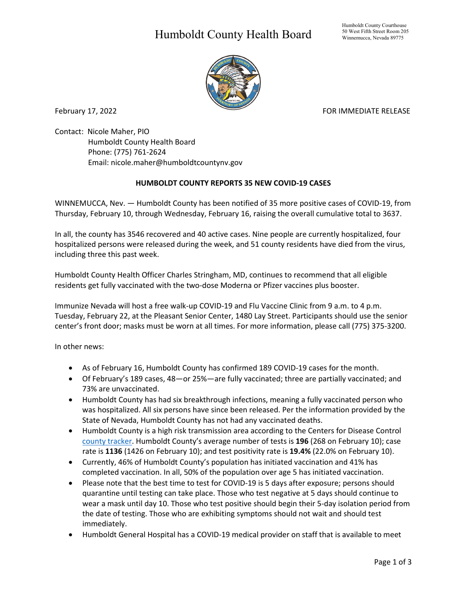## Humboldt County Health Board



February 17, 2022 **For a struck of the COVID-ST** Extending Formulation of the FOR IMMEDIATE RELEASE

Contact: Nicole Maher, PIO Humboldt County Health Board Phone: (775) 761-2624 Email: nicole.maher@humboldtcountynv.gov

## **HUMBOLDT COUNTY REPORTS 35 NEW COVID-19 CASES**

WINNEMUCCA, Nev. — Humboldt County has been notified of 35 more positive cases of COVID-19, from Thursday, February 10, through Wednesday, February 16, raising the overall cumulative total to 3637.

In all, the county has 3546 recovered and 40 active cases. Nine people are currently hospitalized, four hospitalized persons were released during the week, and 51 county residents have died from the virus, including three this past week.

Humboldt County Health Officer Charles Stringham, MD, continues to recommend that all eligible residents get fully vaccinated with the two-dose Moderna or Pfizer vaccines plus booster.

Immunize Nevada will host a free walk-up COVID-19 and Flu Vaccine Clinic from 9 a.m. to 4 p.m. Tuesday, February 22, at the Pleasant Senior Center, 1480 Lay Street. Participants should use the senior center's front door; masks must be worn at all times. For more information, please call (775) 375-3200.

In other news:

- As of February 16, Humboldt County has confirmed 189 COVID-19 cases for the month.
- Of February's 189 cases, 48—or 25%—are fully vaccinated; three are partially vaccinated; and 73% are unvaccinated.
- Humboldt County has had six breakthrough infections, meaning a fully vaccinated person who was hospitalized. All six persons have since been released. Per the information provided by the State of Nevada, Humboldt County has not had any vaccinated deaths.
- Humboldt County is a high risk transmission area according to the Centers for Disease Control [county tracker.](https://nvhealthresponse.nv.gov/current-status-mitigation-measures/) Humboldt County's average number of tests is **196** (268 on February 10); case rate is **1136** (1426 on February 10); and test positivity rate is **19.4%** (22.0% on February 10).
- Currently, 46% of Humboldt County's population has initiated vaccination and 41% has completed vaccination. In all, 50% of the population over age 5 has initiated vaccination.
- Please note that the best time to test for COVID-19 is 5 days after exposure; persons should quarantine until testing can take place. Those who test negative at 5 days should continue to wear a mask until day 10. Those who test positive should begin their 5-day isolation period from the date of testing. Those who are exhibiting symptoms should not wait and should test immediately.
- Humboldt General Hospital has a COVID-19 medical provider on staff that is available to meet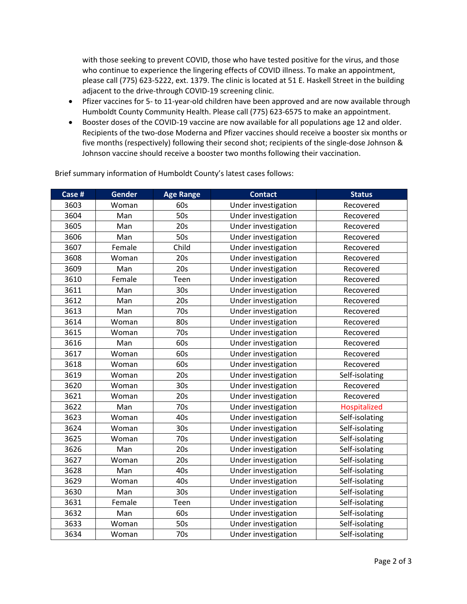with those seeking to prevent COVID, those who have tested positive for the virus, and those who continue to experience the lingering effects of COVID illness. To make an appointment, please call (775) 623-5222, ext. 1379. The clinic is located at 51 E. Haskell Street in the building adjacent to the drive-through COVID-19 screening clinic.

- Pfizer vaccines for 5- to 11-year-old children have been approved and are now available through Humboldt County Community Health. Please call (775) 623-6575 to make an appointment.
- Booster doses of the COVID-19 vaccine are now available for all populations age 12 and older. Recipients of the two-dose Moderna and Pfizer vaccines should receive a booster six months or five months (respectively) following their second shot; recipients of the single-dose Johnson & Johnson vaccine should receive a booster two months following their vaccination.

| Case # | <b>Gender</b> | <b>Age Range</b> | <b>Contact</b>      | <b>Status</b>  |
|--------|---------------|------------------|---------------------|----------------|
| 3603   | Woman         | 60s              | Under investigation | Recovered      |
| 3604   | Man           | 50s              | Under investigation | Recovered      |
| 3605   | Man           | 20s              | Under investigation | Recovered      |
| 3606   | Man           | 50s              | Under investigation | Recovered      |
| 3607   | Female        | Child            | Under investigation | Recovered      |
| 3608   | Woman         | 20s              | Under investigation | Recovered      |
| 3609   | Man           | 20s              | Under investigation | Recovered      |
| 3610   | Female        | Teen             | Under investigation | Recovered      |
| 3611   | Man           | 30 <sub>s</sub>  | Under investigation | Recovered      |
| 3612   | Man           | 20s              | Under investigation | Recovered      |
| 3613   | Man           | 70s              | Under investigation | Recovered      |
| 3614   | Woman         | 80s              | Under investigation | Recovered      |
| 3615   | Woman         | 70s              | Under investigation | Recovered      |
| 3616   | Man           | 60s              | Under investigation | Recovered      |
| 3617   | Woman         | 60s              | Under investigation | Recovered      |
| 3618   | Woman         | 60s              | Under investigation | Recovered      |
| 3619   | Woman         | 20s              | Under investigation | Self-isolating |
| 3620   | Woman         | 30s              | Under investigation | Recovered      |
| 3621   | Woman         | 20s              | Under investigation | Recovered      |
| 3622   | Man           | 70s              | Under investigation | Hospitalized   |
| 3623   | Woman         | 40s              | Under investigation | Self-isolating |
| 3624   | Woman         | 30 <sub>s</sub>  | Under investigation | Self-isolating |
| 3625   | Woman         | 70s              | Under investigation | Self-isolating |
| 3626   | Man           | 20s              | Under investigation | Self-isolating |
| 3627   | Woman         | 20s              | Under investigation | Self-isolating |
| 3628   | Man           | 40s              | Under investigation | Self-isolating |
| 3629   | Woman         | 40s              | Under investigation | Self-isolating |
| 3630   | Man           | 30 <sub>s</sub>  | Under investigation | Self-isolating |
| 3631   | Female        | Teen             | Under investigation | Self-isolating |
| 3632   | Man           | 60s              | Under investigation | Self-isolating |
| 3633   | Woman         | 50s              | Under investigation | Self-isolating |
| 3634   | Woman         | 70s              | Under investigation | Self-isolating |

Brief summary information of Humboldt County's latest cases follows: